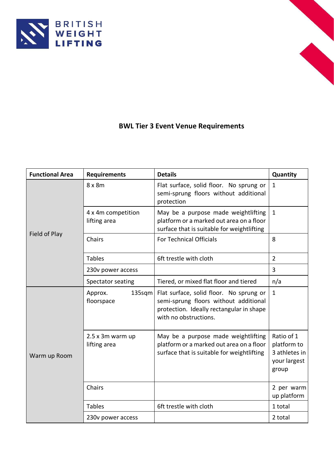



## **BWL Tier 3 Event Venue Requirements**

| <b>Functional Area</b> | <b>Requirements</b>                | <b>Details</b>                                                                                                                                        | Quantity                                                            |
|------------------------|------------------------------------|-------------------------------------------------------------------------------------------------------------------------------------------------------|---------------------------------------------------------------------|
| Field of Play          | $8 \times 8m$                      | Flat surface, solid floor. No sprung or<br>semi-sprung floors without additional<br>protection                                                        | $\mathbf{1}$                                                        |
|                        | 4 x 4m competition<br>lifting area | May be a purpose made weightlifting<br>platform or a marked out area on a floor<br>surface that is suitable for weightlifting                         | $\mathbf{1}$                                                        |
|                        | Chairs                             | <b>For Technical Officials</b>                                                                                                                        | 8                                                                   |
|                        | <b>Tables</b>                      | 6ft trestle with cloth                                                                                                                                | $\overline{2}$                                                      |
|                        | 230v power access                  |                                                                                                                                                       | 3                                                                   |
|                        | Spectator seating                  | Tiered, or mixed flat floor and tiered                                                                                                                | n/a                                                                 |
| Warm up Room           | Approx.<br>$135$ sqm<br>floorspace | Flat surface, solid floor. No sprung or<br>semi-sprung floors without additional<br>protection. Ideally rectangular in shape<br>with no obstructions. | $\mathbf{1}$                                                        |
|                        | 2.5 x 3m warm up<br>lifting area   | May be a purpose made weightlifting<br>platform or a marked out area on a floor<br>surface that is suitable for weightlifting                         | Ratio of 1<br>platform to<br>3 athletes in<br>your largest<br>group |
|                        | Chairs                             |                                                                                                                                                       | 2 per warm<br>up platform                                           |
|                        | <b>Tables</b>                      | 6ft trestle with cloth                                                                                                                                | 1 total                                                             |
|                        | 230v power access                  |                                                                                                                                                       | 2 total                                                             |